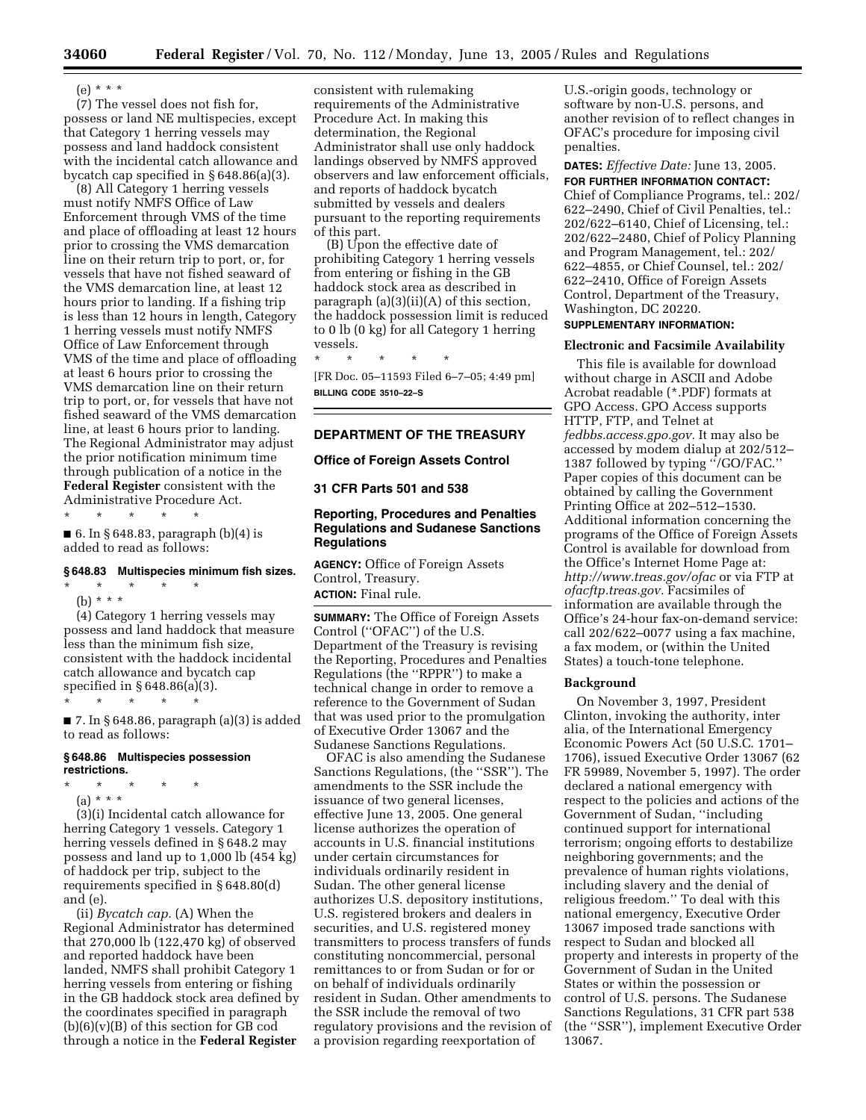# (e) \* \* \*

(7) The vessel does not fish for, possess or land NE multispecies, except that Category 1 herring vessels may possess and land haddock consistent with the incidental catch allowance and bycatch cap specified in § 648.86(a)(3).

(8) All Category 1 herring vessels must notify NMFS Office of Law Enforcement through VMS of the time and place of offloading at least 12 hours prior to crossing the VMS demarcation line on their return trip to port, or, for vessels that have not fished seaward of the VMS demarcation line, at least 12 hours prior to landing. If a fishing trip is less than 12 hours in length, Category 1 herring vessels must notify NMFS Office of Law Enforcement through VMS of the time and place of offloading at least 6 hours prior to crossing the VMS demarcation line on their return trip to port, or, for vessels that have not fished seaward of the VMS demarcation line, at least 6 hours prior to landing. The Regional Administrator may adjust the prior notification minimum time through publication of a notice in the **Federal Register** consistent with the Administrative Procedure Act.

\* \* \* \* \*

 $\blacksquare$  6. In § 648.83, paragraph (b)(4) is added to read as follows:

# **§ 648.83 Multispecies minimum fish sizes.** \* \* \* \* \*

(b) \* \* \*

(4) Category 1 herring vessels may possess and land haddock that measure less than the minimum fish size, consistent with the haddock incidental catch allowance and bycatch cap specified in § 648.86(a)(3).

 $\blacksquare$  7. In § 648.86, paragraph (a)(3) is added to read as follows:

### **§ 648.86 Multispecies possession restrictions.**

\* \* \* \* \*

- \* \* \* \* \*
	- (a) \* \* \*

(3)(i) Incidental catch allowance for herring Category 1 vessels. Category 1 herring vessels defined in § 648.2 may possess and land up to 1,000 lb (454 kg) of haddock per trip, subject to the requirements specified in § 648.80(d) and (e).

(ii) *Bycatch cap.* (A) When the Regional Administrator has determined that 270,000 lb (122,470 kg) of observed and reported haddock have been landed, NMFS shall prohibit Category 1 herring vessels from entering or fishing in the GB haddock stock area defined by the coordinates specified in paragraph  $(b)(6)(v)(B)$  of this section for GB cod through a notice in the **Federal Register**

consistent with rulemaking requirements of the Administrative Procedure Act. In making this determination, the Regional Administrator shall use only haddock landings observed by NMFS approved observers and law enforcement officials, and reports of haddock bycatch submitted by vessels and dealers pursuant to the reporting requirements of this part.

(B) Upon the effective date of prohibiting Category 1 herring vessels from entering or fishing in the GB haddock stock area as described in paragraph  $(a)(3)(ii)(A)$  of this section, the haddock possession limit is reduced to 0 lb (0 kg) for all Category 1 herring vessels.

\* \* \* \* \* [FR Doc. 05–11593 Filed 6–7–05; 4:49 pm] **BILLING CODE 3510–22–S**

# **DEPARTMENT OF THE TREASURY**

### **Office of Foreign Assets Control**

**31 CFR Parts 501 and 538** 

## **Reporting, Procedures and Penalties Regulations and Sudanese Sanctions Regulations**

**AGENCY:** Office of Foreign Assets Control, Treasury. **ACTION:** Final rule.

**SUMMARY:** The Office of Foreign Assets Control (''OFAC'') of the U.S. Department of the Treasury is revising the Reporting, Procedures and Penalties Regulations (the ''RPPR'') to make a technical change in order to remove a reference to the Government of Sudan that was used prior to the promulgation of Executive Order 13067 and the Sudanese Sanctions Regulations.

OFAC is also amending the Sudanese Sanctions Regulations, (the "SSR"). The amendments to the SSR include the issuance of two general licenses, effective June 13, 2005. One general license authorizes the operation of accounts in U.S. financial institutions under certain circumstances for individuals ordinarily resident in Sudan. The other general license authorizes U.S. depository institutions, U.S. registered brokers and dealers in securities, and U.S. registered money transmitters to process transfers of funds constituting noncommercial, personal remittances to or from Sudan or for or on behalf of individuals ordinarily resident in Sudan. Other amendments to the SSR include the removal of two regulatory provisions and the revision of a provision regarding reexportation of

U.S.-origin goods, technology or software by non-U.S. persons, and another revision of to reflect changes in OFAC's procedure for imposing civil penalties.

**DATES:** *Effective Date:* June 13, 2005.

**FOR FURTHER INFORMATION CONTACT:**

Chief of Compliance Programs, tel.: 202/ 622–2490, Chief of Civil Penalties, tel.: 202/622–6140, Chief of Licensing, tel.: 202/622–2480, Chief of Policy Planning and Program Management, tel.: 202/ 622–4855, or Chief Counsel, tel.: 202/ 622–2410, Office of Foreign Assets Control, Department of the Treasury, Washington, DC 20220.

## **SUPPLEMENTARY INFORMATION:**

#### **Electronic and Facsimile Availability**

This file is available for download without charge in ASCII and Adobe Acrobat readable (\*.PDF) formats at GPO Access. GPO Access supports HTTP, FTP, and Telnet at *fedbbs.access.gpo.gov.* It may also be accessed by modem dialup at 202/512– 1387 followed by typing ''/GO/FAC.'' Paper copies of this document can be obtained by calling the Government Printing Office at 202–512–1530. Additional information concerning the programs of the Office of Foreign Assets Control is available for download from the Office's Internet Home Page at: *<http://www.treas.gov/ofac>* or via FTP at *ofacftp.treas.gov.* Facsimiles of information are available through the Office's 24-hour fax-on-demand service: call 202/622–0077 using a fax machine, a fax modem, or (within the United States) a touch-tone telephone.

## **Background**

On November 3, 1997, President Clinton, invoking the authority, inter alia, of the International Emergency Economic Powers Act (50 U.S.C. 1701– 1706), issued Executive Order 13067 (62 FR 59989, November 5, 1997). The order declared a national emergency with respect to the policies and actions of the Government of Sudan, ''including continued support for international terrorism; ongoing efforts to destabilize neighboring governments; and the prevalence of human rights violations, including slavery and the denial of religious freedom.'' To deal with this national emergency, Executive Order 13067 imposed trade sanctions with respect to Sudan and blocked all property and interests in property of the Government of Sudan in the United States or within the possession or control of U.S. persons. The Sudanese Sanctions Regulations, 31 CFR part 538 (the ''SSR''), implement Executive Order 13067.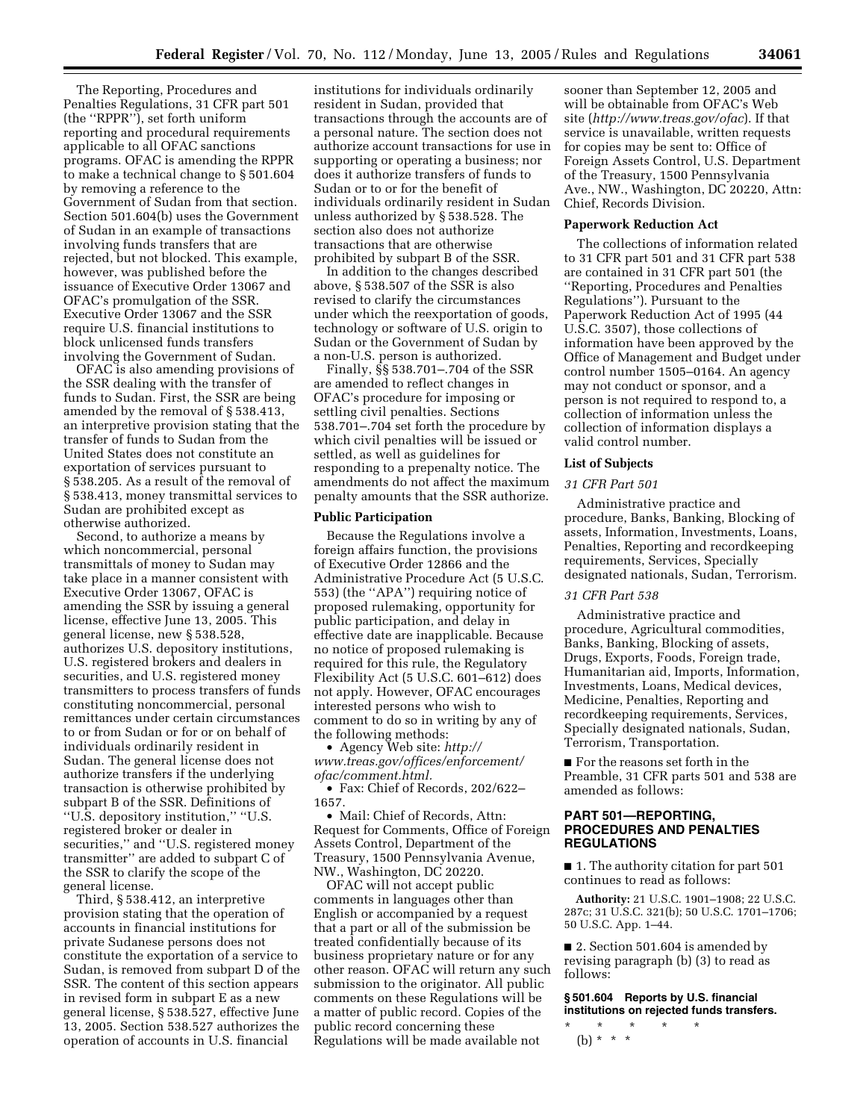The Reporting, Procedures and Penalties Regulations, 31 CFR part 501 (the ''RPPR''), set forth uniform reporting and procedural requirements applicable to all OFAC sanctions programs. OFAC is amending the RPPR to make a technical change to § 501.604 by removing a reference to the Government of Sudan from that section. Section 501.604(b) uses the Government of Sudan in an example of transactions involving funds transfers that are rejected, but not blocked. This example, however, was published before the issuance of Executive Order 13067 and OFAC's promulgation of the SSR. Executive Order 13067 and the SSR require U.S. financial institutions to block unlicensed funds transfers involving the Government of Sudan.

OFAC is also amending provisions of the SSR dealing with the transfer of funds to Sudan. First, the SSR are being amended by the removal of § 538.413, an interpretive provision stating that the transfer of funds to Sudan from the United States does not constitute an exportation of services pursuant to § 538.205. As a result of the removal of § 538.413, money transmittal services to Sudan are prohibited except as otherwise authorized.

Second, to authorize a means by which noncommercial, personal transmittals of money to Sudan may take place in a manner consistent with Executive Order 13067, OFAC is amending the SSR by issuing a general license, effective June 13, 2005. This general license, new § 538.528, authorizes U.S. depository institutions, U.S. registered brokers and dealers in securities, and U.S. registered money transmitters to process transfers of funds constituting noncommercial, personal remittances under certain circumstances to or from Sudan or for or on behalf of individuals ordinarily resident in Sudan. The general license does not authorize transfers if the underlying transaction is otherwise prohibited by subpart B of the SSR. Definitions of ''U.S. depository institution,'' ''U.S. registered broker or dealer in securities,'' and ''U.S. registered money transmitter'' are added to subpart C of the SSR to clarify the scope of the general license.

Third, § 538.412, an interpretive provision stating that the operation of accounts in financial institutions for private Sudanese persons does not constitute the exportation of a service to Sudan, is removed from subpart D of the SSR. The content of this section appears in revised form in subpart E as a new general license, § 538.527, effective June 13, 2005. Section 538.527 authorizes the operation of accounts in U.S. financial

institutions for individuals ordinarily resident in Sudan, provided that transactions through the accounts are of a personal nature. The section does not authorize account transactions for use in supporting or operating a business; nor does it authorize transfers of funds to Sudan or to or for the benefit of individuals ordinarily resident in Sudan unless authorized by § 538.528. The section also does not authorize transactions that are otherwise prohibited by subpart B of the SSR.

In addition to the changes described above, § 538.507 of the SSR is also revised to clarify the circumstances under which the reexportation of goods, technology or software of U.S. origin to Sudan or the Government of Sudan by a non-U.S. person is authorized.

Finally, §§ 538.701–.704 of the SSR are amended to reflect changes in OFAC's procedure for imposing or settling civil penalties. Sections 538.701–.704 set forth the procedure by which civil penalties will be issued or settled, as well as guidelines for responding to a prepenalty notice. The amendments do not affect the maximum penalty amounts that the SSR authorize.

#### **Public Participation**

Because the Regulations involve a foreign affairs function, the provisions of Executive Order 12866 and the Administrative Procedure Act (5 U.S.C. 553) (the ''APA'') requiring notice of proposed rulemaking, opportunity for public participation, and delay in effective date are inapplicable. Because no notice of proposed rulemaking is required for this rule, the Regulatory Flexibility Act (5 U.S.C. 601–612) does not apply. However, OFAC encourages interested persons who wish to comment to do so in writing by any of the following methods:

• Agency Web site: *http:// [www.treas.gov/offices/enforcement/](http://www.treas.gov/offices/enforcement/ofac/comment.html) ofac/comment.html.*

• Fax: Chief of Records, 202/622– 1657.

• Mail: Chief of Records, Attn: Request for Comments, Office of Foreign Assets Control, Department of the Treasury, 1500 Pennsylvania Avenue, NW., Washington, DC 20220.

OFAC will not accept public comments in languages other than English or accompanied by a request that a part or all of the submission be treated confidentially because of its business proprietary nature or for any other reason. OFAC will return any such submission to the originator. All public comments on these Regulations will be a matter of public record. Copies of the public record concerning these Regulations will be made available not

sooner than September 12, 2005 and will be obtainable from OFAC's Web site (*<http://www.treas.gov/ofac>*). If that service is unavailable, written requests for copies may be sent to: Office of Foreign Assets Control, U.S. Department of the Treasury, 1500 Pennsylvania Ave., NW., Washington, DC 20220, Attn: Chief, Records Division.

## **Paperwork Reduction Act**

The collections of information related to 31 CFR part 501 and 31 CFR part 538 are contained in 31 CFR part 501 (the ''Reporting, Procedures and Penalties Regulations''). Pursuant to the Paperwork Reduction Act of 1995 (44 U.S.C. 3507), those collections of information have been approved by the Office of Management and Budget under control number 1505–0164. An agency may not conduct or sponsor, and a person is not required to respond to, a collection of information unless the collection of information displays a valid control number.

## **List of Subjects**

#### *31 CFR Part 501*

Administrative practice and procedure, Banks, Banking, Blocking of assets, Information, Investments, Loans, Penalties, Reporting and recordkeeping requirements, Services, Specially designated nationals, Sudan, Terrorism.

## *31 CFR Part 538*

Administrative practice and procedure, Agricultural commodities, Banks, Banking, Blocking of assets, Drugs, Exports, Foods, Foreign trade, Humanitarian aid, Imports, Information, Investments, Loans, Medical devices, Medicine, Penalties, Reporting and recordkeeping requirements, Services, Specially designated nationals, Sudan, Terrorism, Transportation.

■ For the reasons set forth in the Preamble, 31 CFR parts 501 and 538 are amended as follows:

## **PART 501—REPORTING, PROCEDURES AND PENALTIES REGULATIONS**

■ 1. The authority citation for part 501 continues to read as follows:

**Authority:** 21 U.S.C. 1901–1908; 22 U.S.C. 287c; 31 U.S.C. 321(b); 50 U.S.C. 1701–1706; 50 U.S.C. App. 1–44.

■ 2. Section 501.604 is amended by revising paragraph (b) (3) to read as follows:

**§ 501.604 Reports by U.S. financial institutions on rejected funds transfers.**

\* \* \* \* \* (b) \* \* \*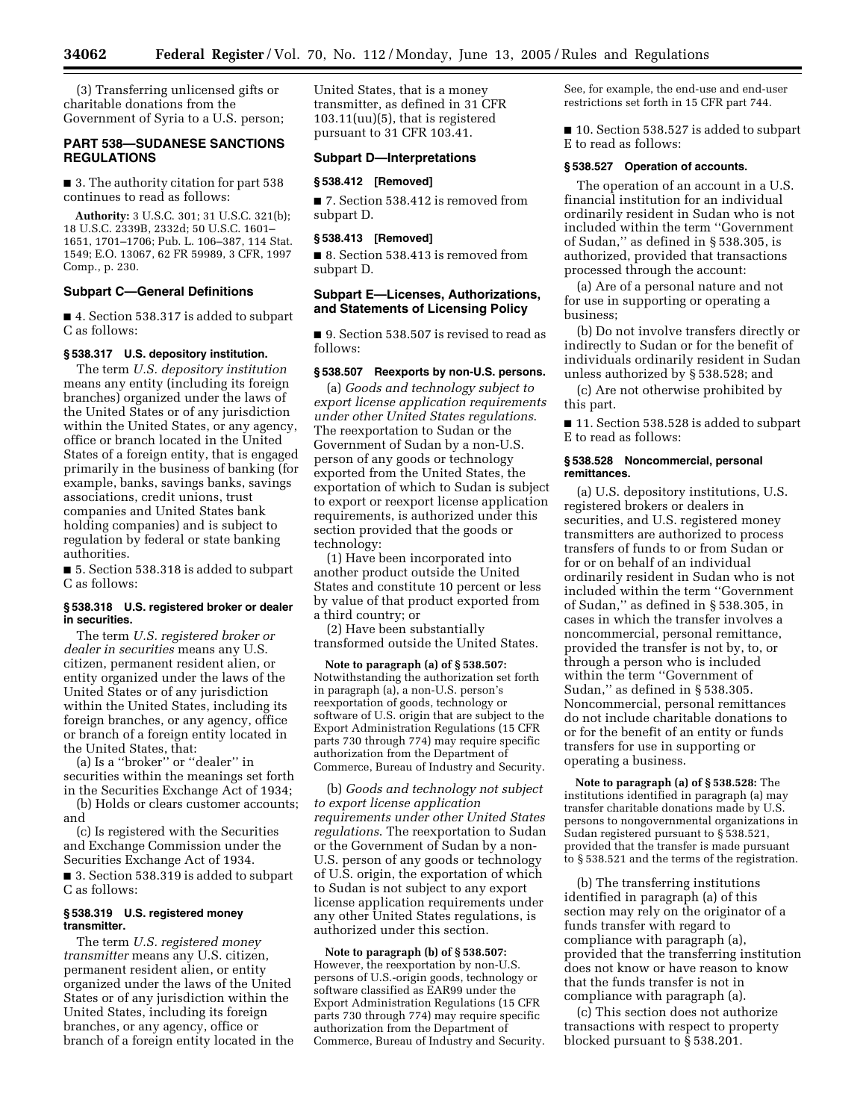(3) Transferring unlicensed gifts or charitable donations from the Government of Syria to a U.S. person;

## **PART 538—SUDANESE SANCTIONS REGULATIONS**

■ 3. The authority citation for part 538 continues to read as follows:

**Authority:** 3 U.S.C. 301; 31 U.S.C. 321(b); 18 U.S.C. 2339B, 2332d; 50 U.S.C. 1601– 1651, 1701–1706; Pub. L. 106–387, 114 Stat. 1549; E.O. 13067, 62 FR 59989, 3 CFR, 1997 Comp., p. 230.

## **Subpart C—General Definitions**

■ 4. Section 538.317 is added to subpart C as follows:

#### **§ 538.317 U.S. depository institution.**

The term *U.S. depository institution* means any entity (including its foreign branches) organized under the laws of the United States or of any jurisdiction within the United States, or any agency, office or branch located in the United States of a foreign entity, that is engaged primarily in the business of banking (for example, banks, savings banks, savings associations, credit unions, trust companies and United States bank holding companies) and is subject to regulation by federal or state banking authorities.

■ 5. Section 538.318 is added to subpart C as follows:

### **§ 538.318 U.S. registered broker or dealer in securities.**

The term *U.S. registered broker or dealer in securities* means any U.S. citizen, permanent resident alien, or entity organized under the laws of the United States or of any jurisdiction within the United States, including its foreign branches, or any agency, office or branch of a foreign entity located in the United States, that:

(a) Is a ''broker'' or ''dealer'' in securities within the meanings set forth in the Securities Exchange Act of 1934;

(b) Holds or clears customer accounts; and

(c) Is registered with the Securities and Exchange Commission under the Securities Exchange Act of 1934.

■ 3. Section 538.319 is added to subpart C as follows:

#### **§ 538.319 U.S. registered money transmitter.**

The term *U.S. registered money transmitter* means any U.S. citizen, permanent resident alien, or entity organized under the laws of the United States or of any jurisdiction within the United States, including its foreign branches, or any agency, office or branch of a foreign entity located in the United States, that is a money transmitter, as defined in 31 CFR 103.11(uu)(5), that is registered pursuant to 31 CFR 103.41.

#### **Subpart D—Interpretations**

#### **§ 538.412 [Removed]**

■ 7. Section 538.412 is removed from subpart D.

### **§ 538.413 [Removed]**

■ 8. Section 538.413 is removed from subpart D.

## **Subpart E—Licenses, Authorizations, and Statements of Licensing Policy**

■ 9. Section 538.507 is revised to read as follows:

## **§ 538.507 Reexports by non-U.S. persons.**

(a) *Goods and technology subject to export license application requirements under other United States regulations*. The reexportation to Sudan or the Government of Sudan by a non-U.S. person of any goods or technology exported from the United States, the exportation of which to Sudan is subject to export or reexport license application requirements, is authorized under this section provided that the goods or technology:

(1) Have been incorporated into another product outside the United States and constitute 10 percent or less by value of that product exported from a third country; or

(2) Have been substantially transformed outside the United States.

**Note to paragraph (a) of § 538.507:** Notwithstanding the authorization set forth in paragraph (a), a non-U.S. person's reexportation of goods, technology or software of U.S. origin that are subject to the Export Administration Regulations (15 CFR parts 730 through 774) may require specific authorization from the Department of Commerce, Bureau of Industry and Security.

(b) *Goods and technology not subject to export license application requirements under other United States regulations*. The reexportation to Sudan or the Government of Sudan by a non-U.S. person of any goods or technology of U.S. origin, the exportation of which to Sudan is not subject to any export license application requirements under any other United States regulations, is authorized under this section.

**Note to paragraph (b) of § 538.507:** However, the reexportation by non-U.S. persons of U.S.-origin goods, technology or software classified as EAR99 under the Export Administration Regulations (15 CFR parts 730 through 774) may require specific authorization from the Department of Commerce, Bureau of Industry and Security. See, for example, the end-use and end-user restrictions set forth in 15 CFR part 744.

■ 10. Section 538.527 is added to subpart E to read as follows:

#### **§ 538.527 Operation of accounts.**

The operation of an account in a U.S. financial institution for an individual ordinarily resident in Sudan who is not included within the term ''Government of Sudan,'' as defined in § 538.305, is authorized, provided that transactions processed through the account:

(a) Are of a personal nature and not for use in supporting or operating a business;

(b) Do not involve transfers directly or indirectly to Sudan or for the benefit of individuals ordinarily resident in Sudan unless authorized by § 538.528; and

(c) Are not otherwise prohibited by this part.

■ 11. Section 538.528 is added to subpart E to read as follows:

## **§ 538.528 Noncommercial, personal remittances.**

(a) U.S. depository institutions, U.S. registered brokers or dealers in securities, and U.S. registered money transmitters are authorized to process transfers of funds to or from Sudan or for or on behalf of an individual ordinarily resident in Sudan who is not included within the term ''Government of Sudan,'' as defined in § 538.305, in cases in which the transfer involves a noncommercial, personal remittance, provided the transfer is not by, to, or through a person who is included within the term ''Government of Sudan,'' as defined in § 538.305. Noncommercial, personal remittances do not include charitable donations to or for the benefit of an entity or funds transfers for use in supporting or operating a business.

**Note to paragraph (a) of § 538.528:** The institutions identified in paragraph (a) may transfer charitable donations made by U.S. persons to nongovernmental organizations in Sudan registered pursuant to § 538.521, provided that the transfer is made pursuant to § 538.521 and the terms of the registration.

(b) The transferring institutions identified in paragraph (a) of this section may rely on the originator of a funds transfer with regard to compliance with paragraph (a), provided that the transferring institution does not know or have reason to know that the funds transfer is not in compliance with paragraph (a).

(c) This section does not authorize transactions with respect to property blocked pursuant to § 538.201.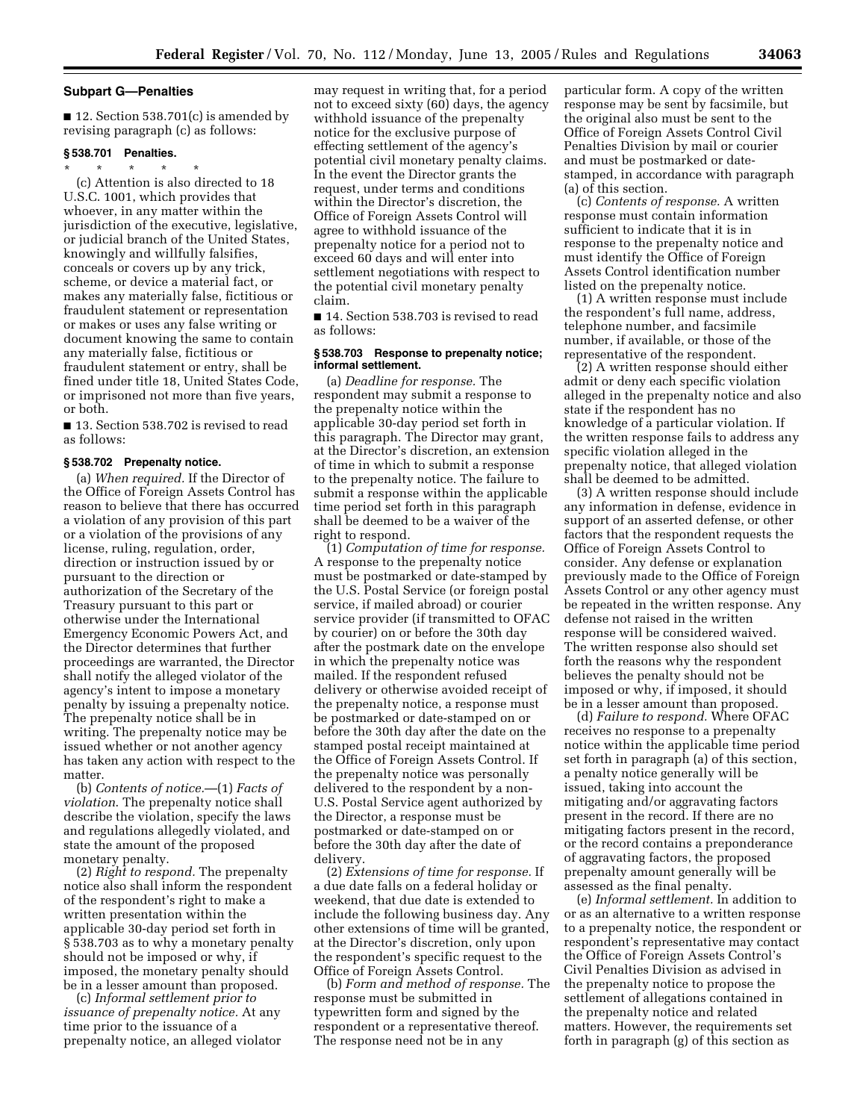### **Subpart G—Penalties**

■ 12. Section 538.701(c) is amended by revising paragraph (c) as follows:

## **§ 538.701 Penalties.**

\* \* \* \* \* (c) Attention is also directed to 18 U.S.C. 1001, which provides that whoever, in any matter within the jurisdiction of the executive, legislative, or judicial branch of the United States, knowingly and willfully falsifies, conceals or covers up by any trick, scheme, or device a material fact, or makes any materially false, fictitious or fraudulent statement or representation or makes or uses any false writing or document knowing the same to contain any materially false, fictitious or fraudulent statement or entry, shall be fined under title 18, United States Code, or imprisoned not more than five years, or both.

■ 13. Section 538.702 is revised to read as follows:

### **§ 538.702 Prepenalty notice.**

(a) *When required.* If the Director of the Office of Foreign Assets Control has reason to believe that there has occurred a violation of any provision of this part or a violation of the provisions of any license, ruling, regulation, order, direction or instruction issued by or pursuant to the direction or authorization of the Secretary of the Treasury pursuant to this part or otherwise under the International Emergency Economic Powers Act, and the Director determines that further proceedings are warranted, the Director shall notify the alleged violator of the agency's intent to impose a monetary penalty by issuing a prepenalty notice. The prepenalty notice shall be in writing. The prepenalty notice may be issued whether or not another agency has taken any action with respect to the matter.

(b) *Contents of notice.*—(1) *Facts of violation*. The prepenalty notice shall describe the violation, specify the laws and regulations allegedly violated, and state the amount of the proposed monetary penalty.

(2) *Right to respond.* The prepenalty notice also shall inform the respondent of the respondent's right to make a written presentation within the applicable 30-day period set forth in § 538.703 as to why a monetary penalty should not be imposed or why, if imposed, the monetary penalty should be in a lesser amount than proposed.

(c) *Informal settlement prior to issuance of prepenalty notice.* At any time prior to the issuance of a prepenalty notice, an alleged violator

may request in writing that, for a period not to exceed sixty (60) days, the agency withhold issuance of the prepenalty notice for the exclusive purpose of effecting settlement of the agency's potential civil monetary penalty claims. In the event the Director grants the request, under terms and conditions within the Director's discretion, the Office of Foreign Assets Control will agree to withhold issuance of the prepenalty notice for a period not to exceed 60 days and will enter into settlement negotiations with respect to the potential civil monetary penalty claim.

■ 14. Section 538.703 is revised to read as follows:

#### **§ 538.703 Response to prepenalty notice; informal settlement.**

(a) *Deadline for response.* The respondent may submit a response to the prepenalty notice within the applicable 30-day period set forth in this paragraph. The Director may grant, at the Director's discretion, an extension of time in which to submit a response to the prepenalty notice. The failure to submit a response within the applicable time period set forth in this paragraph shall be deemed to be a waiver of the right to respond.

(1) *Computation of time for response.* A response to the prepenalty notice must be postmarked or date-stamped by the U.S. Postal Service (or foreign postal service, if mailed abroad) or courier service provider (if transmitted to OFAC by courier) on or before the 30th day after the postmark date on the envelope in which the prepenalty notice was mailed. If the respondent refused delivery or otherwise avoided receipt of the prepenalty notice, a response must be postmarked or date-stamped on or before the 30th day after the date on the stamped postal receipt maintained at the Office of Foreign Assets Control. If the prepenalty notice was personally delivered to the respondent by a non-U.S. Postal Service agent authorized by the Director, a response must be postmarked or date-stamped on or before the 30th day after the date of delivery.

(2) *Extensions of time for response.* If a due date falls on a federal holiday or weekend, that due date is extended to include the following business day. Any other extensions of time will be granted, at the Director's discretion, only upon the respondent's specific request to the Office of Foreign Assets Control.

(b) *Form and method of response.* The response must be submitted in typewritten form and signed by the respondent or a representative thereof. The response need not be in any

particular form. A copy of the written response may be sent by facsimile, but the original also must be sent to the Office of Foreign Assets Control Civil Penalties Division by mail or courier and must be postmarked or datestamped, in accordance with paragraph (a) of this section.

(c) *Contents of response.* A written response must contain information sufficient to indicate that it is in response to the prepenalty notice and must identify the Office of Foreign Assets Control identification number listed on the prepenalty notice.

(1) A written response must include the respondent's full name, address, telephone number, and facsimile number, if available, or those of the representative of the respondent.

(2) A written response should either admit or deny each specific violation alleged in the prepenalty notice and also state if the respondent has no knowledge of a particular violation. If the written response fails to address any specific violation alleged in the prepenalty notice, that alleged violation shall be deemed to be admitted.

(3) A written response should include any information in defense, evidence in support of an asserted defense, or other factors that the respondent requests the Office of Foreign Assets Control to consider. Any defense or explanation previously made to the Office of Foreign Assets Control or any other agency must be repeated in the written response. Any defense not raised in the written response will be considered waived. The written response also should set forth the reasons why the respondent believes the penalty should not be imposed or why, if imposed, it should be in a lesser amount than proposed.

(d) *Failure to respond.* Where OFAC receives no response to a prepenalty notice within the applicable time period set forth in paragraph (a) of this section, a penalty notice generally will be issued, taking into account the mitigating and/or aggravating factors present in the record. If there are no mitigating factors present in the record, or the record contains a preponderance of aggravating factors, the proposed prepenalty amount generally will be assessed as the final penalty.

(e) *Informal settlement.* In addition to or as an alternative to a written response to a prepenalty notice, the respondent or respondent's representative may contact the Office of Foreign Assets Control's Civil Penalties Division as advised in the prepenalty notice to propose the settlement of allegations contained in the prepenalty notice and related matters. However, the requirements set forth in paragraph (g) of this section as